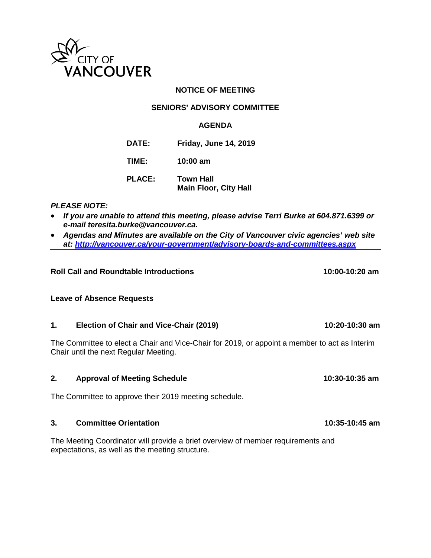

# **NOTICE OF MEETING**

### **SENIORS' ADVISORY COMMITTEE**

# **AGENDA**

**DATE: Friday, June 14, 2019**

**TIME: 10:00 am**

**PLACE: Town Hall Main Floor, City Hall**

### *PLEASE NOTE:*

- *If you are unable to attend this meeting, please advise Terri Burke at 604.871.6399 or e-mail teresita.burke@vancouver.ca.*
- *Agendas and Minutes are available on the City of Vancouver civic agencies' web site at:<http://vancouver.ca/your-government/advisory-boards-and-committees.aspx>*

# **Roll Call and Roundtable Introductions 10:00-10:20 am**

### **Leave of Absence Requests**

### **1. Election of Chair and Vice-Chair (2019) 10:20-10:30 am**

The Committee to elect a Chair and Vice-Chair for 2019, or appoint a member to act as Interim Chair until the next Regular Meeting.

### **2. Approval of Meeting Schedule 10:30-10:35 am**

The Committee to approve their 2019 meeting schedule.

#### **3. Committee Orientation 10:35-10:45 am**

The Meeting Coordinator will provide a brief overview of member requirements and expectations, as well as the meeting structure.